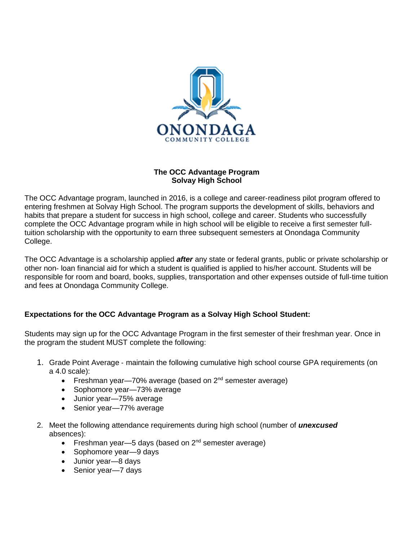

## **The OCC Advantage Program Solvay High School**

The OCC Advantage program, launched in 2016, is a college and career‐readiness pilot program offered to entering freshmen at Solvay High School. The program supports the development of skills, behaviors and habits that prepare a student for success in high school, college and career. Students who successfully complete the OCC Advantage program while in high school will be eligible to receive a first semester full‐ tuition scholarship with the opportunity to earn three subsequent semesters at Onondaga Community College.

The OCC Advantage is a scholarship applied *after* any state or federal grants, public or private scholarship or other non‐ loan financial aid for which a student is qualified is applied to his/her account. Students will be responsible for room and board, books, supplies, transportation and other expenses outside of full‐time tuition and fees at Onondaga Community College.

## **Expectations for the OCC Advantage Program as a Solvay High School Student:**

Students may sign up for the OCC Advantage Program in the first semester of their freshman year. Once in the program the student MUST complete the following:

- 1. Grade Point Average ‐ maintain the following cumulative high school course GPA requirements (on a 4.0 scale):
	- Freshman year—70% average (based on  $2<sup>nd</sup>$  semester average)
	- Sophomore year-73% average
	- Junior year—75% average
	- Senior year-77% average
- 2. Meet the following attendance requirements during high school (number of *unexcused*  absences):
	- Freshman year—5 days (based on  $2<sup>nd</sup>$  semester average)
	- Sophomore year-9 days
	- Junior year-8 days
	- Senior year-7 days